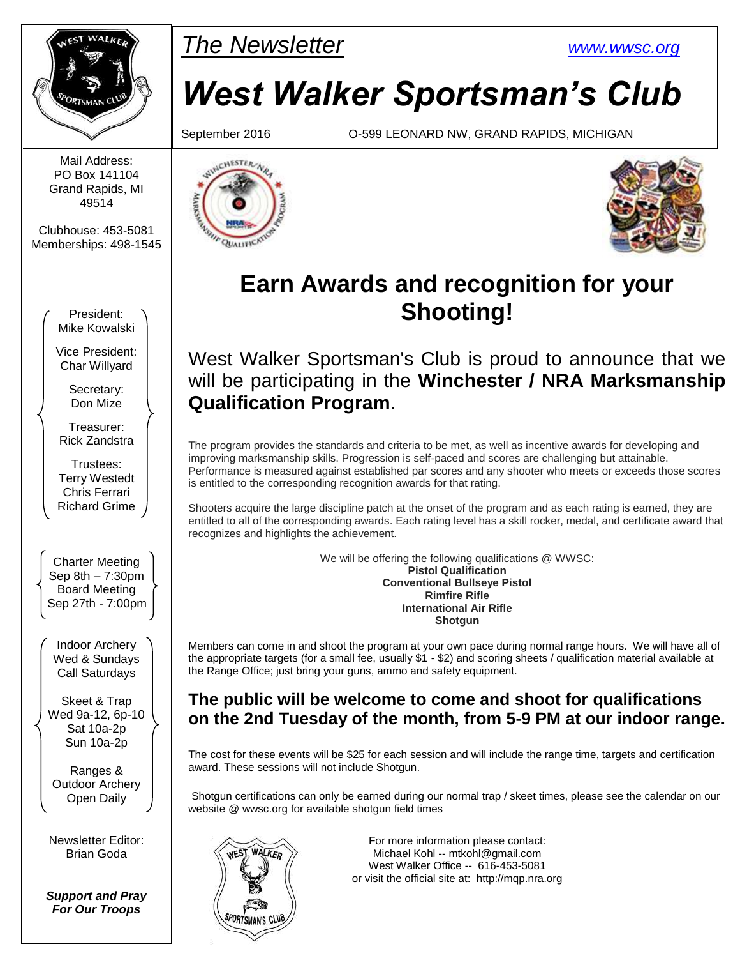

Mail Address: PO Box 141104 Grand Rapids, MI 49514

Clubhouse: 453-5081 Memberships: 498-1545

> President: Mike Kowalski

Vice President: Char Willyard

> Secretary: Don Mize

Treasurer: Rick Zandstra

Trustees: Terry Westedt Chris Ferrari Richard Grime

Charter Meeting Sep 8th – 7:30pm Board Meeting Sep 27th - 7:00pm

Indoor Archery Wed & Sundays Call Saturdays

Skeet & Trap Wed 9a-12, 6p-10 Sat 10a-2p Sun 10a-2p

Ranges & Outdoor Archery Open Daily

Newsletter Editor: Brian Goda

*Support and Pray For Our Troops*

## PMar *The Newsletter [www.wwsc.org](http://www.wwsc.org/)*

# *West Walker Sportsman's Club*

September 2016 O-599 LEONARD NW, GRAND RAPIDS, MICHIGAN





## **Earn Awards and recognition for your Shooting!**

West Walker Sportsman's Club is proud to announce that we will be participating in the **Winchester / NRA Marksmanship Qualification Program**.

The program provides the standards and criteria to be met, as well as incentive awards for developing and improving marksmanship skills. Progression is self-paced and scores are challenging but attainable. Performance is measured against established par scores and any shooter who meets or exceeds those scores is entitled to the corresponding recognition awards for that rating.

Shooters acquire the large discipline patch at the onset of the program and as each rating is earned, they are entitled to all of the corresponding awards. Each rating level has a skill rocker, medal, and certificate award that recognizes and highlights the achievement.

> We will be offering the following qualifications @ WWSC: **Pistol Qualification Conventional Bullseye Pistol Rimfire Rifle International Air Rifle Shotgun**

Members can come in and shoot the program at your own pace during normal range hours. We will have all of the appropriate targets (for a small fee, usually \$1 - \$2) and scoring sheets / qualification material available at the Range Office; just bring your guns, ammo and safety equipment.

### **The public will be welcome to come and shoot for qualifications on the 2nd Tuesday of the month, from 5-9 PM at our indoor range.**

The cost for these events will be \$25 for each session and will include the range time, targets and certification award. These sessions will not include Shotgun.

Shotgun certifications can only be earned during our normal trap / skeet times, please see the calendar on our website @ wwsc.org for available shotgun field times



For more information please contact: Michael Kohl -- mtkohl@gmail.com West Walker Office -- 616-453-5081 or visit the official site at: http://mqp.nra.org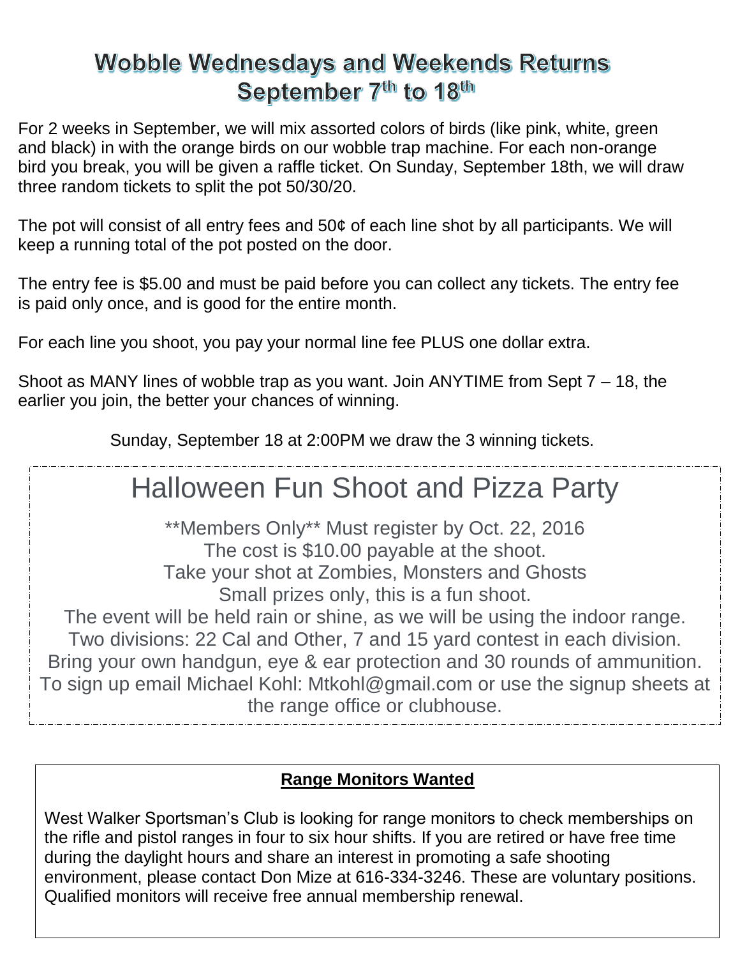### **Wobble Wednesdays and Weekends Returns** September 7<sup>th</sup> to 18<sup>th</sup>

For 2 weeks in September, we will mix assorted colors of birds (like pink, white, green and black) in with the orange birds on our wobble trap machine. For each non-orange bird you break, you will be given a raffle ticket. On Sunday, September 18th, we will draw three random tickets to split the pot 50/30/20.

The pot will consist of all entry fees and 50¢ of each line shot by all participants. We will keep a running total of the pot posted on the door.

The entry fee is \$5.00 and must be paid before you can collect any tickets. The entry fee is paid only once, and is good for the entire month.

For each line you shoot, you pay your normal line fee PLUS one dollar extra.

Shoot as MANY lines of wobble trap as you want. Join ANYTIME from Sept 7 – 18, the earlier you join, the better your chances of winning.

Sunday, September 18 at 2:00PM we draw the 3 winning tickets.

## Halloween Fun Shoot and Pizza Party

\*\*Members Only\*\* Must register by Oct. 22, 2016 The cost is \$10.00 payable at the shoot. Take your shot at Zombies, Monsters and Ghosts Small prizes only, this is a fun shoot.

The event will be held rain or shine, as we will be using the indoor range. Two divisions: 22 Cal and Other, 7 and 15 yard contest in each division. Bring your own handgun, eye & ear protection and 30 rounds of ammunition. To sign up email Michael Kohl: Mtkohl@gmail.com or use the signup sheets at the range office or clubhouse.

### **Range Monitors Wanted**

West Walker Sportsman's Club is looking for range monitors to check memberships on the rifle and pistol ranges in four to six hour shifts. If you are retired or have free time during the daylight hours and share an interest in promoting a safe shooting environment, please contact Don Mize at 616-334-3246. These are voluntary positions. Qualified monitors will receive free annual membership renewal.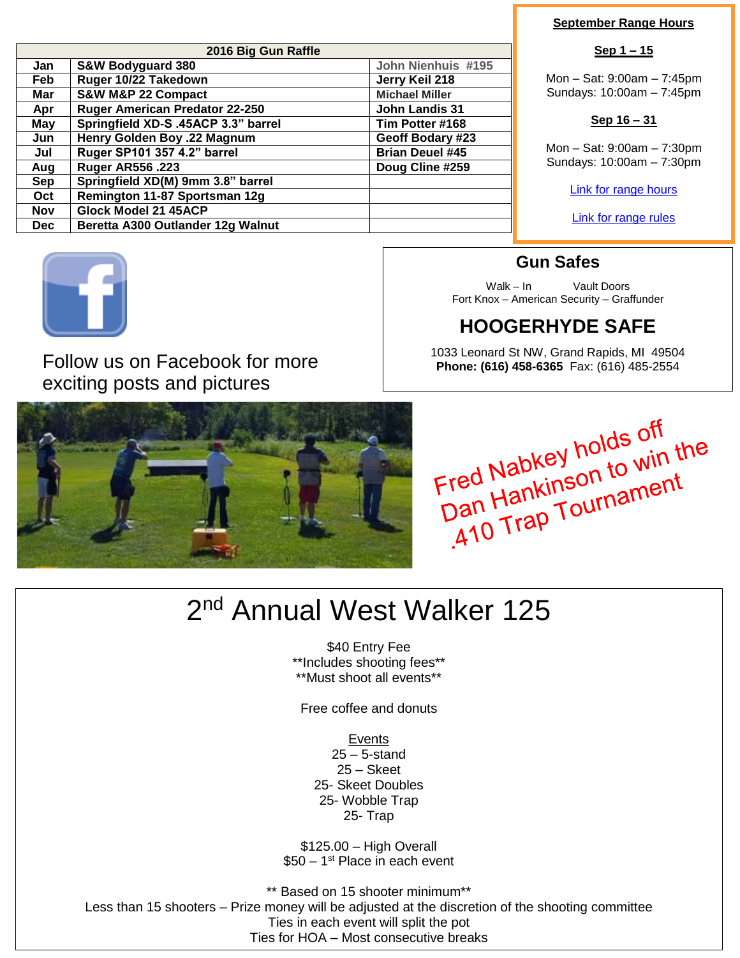| 2016 Big Gun Raffle |                                       |                        |  |  |  |  |
|---------------------|---------------------------------------|------------------------|--|--|--|--|
| Jan                 | <b>S&amp;W Bodyguard 380</b>          | John Nienhuis #195     |  |  |  |  |
| Feb                 | Ruger 10/22 Takedown                  | Jerry Keil 218         |  |  |  |  |
| Mar                 | S&W M&P 22 Compact                    | <b>Michael Miller</b>  |  |  |  |  |
| Apr                 | <b>Ruger American Predator 22-250</b> | <b>John Landis 31</b>  |  |  |  |  |
| May                 | Springfield XD-S .45ACP 3.3" barrel   | Tim Potter #168        |  |  |  |  |
| Jun                 | Henry Golden Boy .22 Magnum           | Geoff Bodary #23       |  |  |  |  |
| Jul                 | Ruger SP101 357 4.2" barrel           | <b>Brian Deuel #45</b> |  |  |  |  |
| Aug                 | <b>Ruger AR556.223</b>                | Doug Cline #259        |  |  |  |  |
| <b>Sep</b>          | Springfield XD(M) 9mm 3.8" barrel     |                        |  |  |  |  |
| Oct                 | Remington 11-87 Sportsman 12g         |                        |  |  |  |  |
| <b>Nov</b>          | Glock Model 21 45ACP                  |                        |  |  |  |  |
| Dec.                | Beretta A300 Outlander 12g Walnut     |                        |  |  |  |  |



Follow us on Facebook for more exciting posts and pictures



#### **September Range Hours**

#### **Sep 1 – 15**

Mon – Sat: 9:00am – 7:45pm Sundays: 10:00am – 7:45pm

#### **Sep 16 – 31**

Mon – Sat: 9:00am – 7:30pm Sundays: 10:00am – 7:30pm

[Link for range hours](http://www.wwsc.org/range-hours.shtml)

[Link for range rules](http://www.wwsc.org/img/ranges/RangeRules.pdf)

### **Gun Safes**

Walk – In Vault Doors Fort Knox – American Security – Graffunder

### **HOOGERHYDE SAFE**

1033 Leonard St NW, Grand Rapids, MI 49504 **Phone: (616) 458-6365** Fax: (616) 485-2554

Fred Nabkey holds off<br>Dan Hankinson to win the<br>Dan Hankinson to win the red Nabkey<br>Dan Hankinson to William<br>410 Trap Tournament

## 2<sup>nd</sup> Annual West Walker 125

\$40 Entry Fee \*\*Includes shooting fees\*\* \*\*Must shoot all events\*\*

Free coffee and donuts

Events

25 – 5-stand 25 – Skeet 25- Skeet Doubles 25- Wobble Trap 25- Trap

\$125.00 – High Overall \$50 – 1<sup>st</sup> Place in each event

\*\* Based on 15 shooter minimum\*\* Less than 15 shooters – Prize money will be adjusted at the discretion of the shooting committee Ties in each event will split the pot Ties for HOA – Most consecutive breaks

HOA – Not eligible for individual prizes